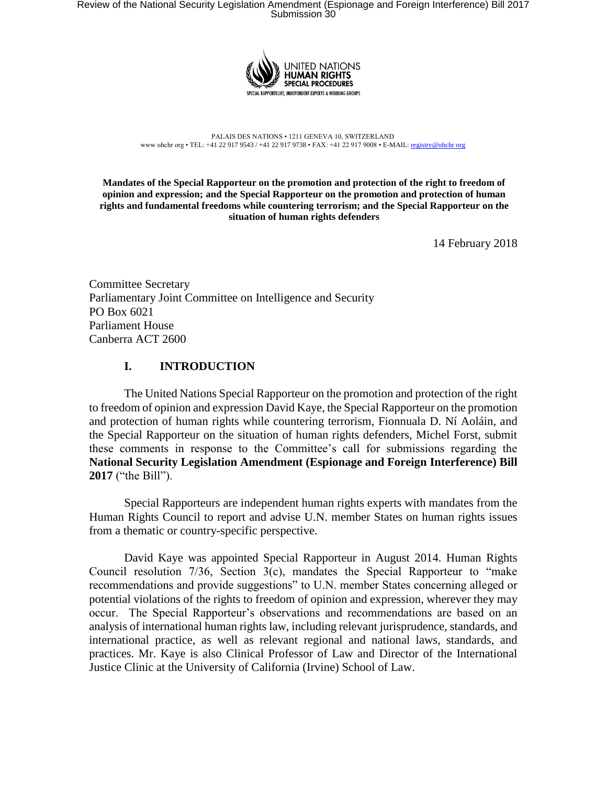

PALAIS DES NATIONS • 1211 GENEVA 10, SWITZERLAND www ohchr org • TEL: +41 22 917 9543 / +41 22 917 9738 • FAX: +41 22 917 9008 • E-MAIL: registry@ohchr org

**Mandates of the Special Rapporteur on the promotion and protection of the right to freedom of opinion and expression; and the Special Rapporteur on the promotion and protection of human rights and fundamental freedoms while countering terrorism; and the Special Rapporteur on the situation of human rights defenders**

14 February 2018

Committee Secretary Parliamentary Joint Committee on Intelligence and Security PO Box 6021 Parliament House Canberra ACT 2600

## **I. INTRODUCTION**

The United Nations Special Rapporteur on the promotion and protection of the right to freedom of opinion and expression David Kaye, the Special Rapporteur on the promotion and protection of human rights while countering terrorism, Fionnuala D. Ní Aoláin, and the Special Rapporteur on the situation of human rights defenders, Michel Forst, submit these comments in response to the Committee's call for submissions regarding the **National Security Legislation Amendment (Espionage and Foreign Interference) Bill 2017** ("the Bill").

Special Rapporteurs are independent human rights experts with mandates from the Human Rights Council to report and advise U.N. member States on human rights issues from a thematic or country-specific perspective.

David Kaye was appointed Special Rapporteur in August 2014. Human Rights Council resolution  $7/36$ , Section  $3(c)$ , mandates the Special Rapporteur to "make recommendations and provide suggestions" to U.N. member States concerning alleged or potential violations of the rights to freedom of opinion and expression, wherever they may occur. The Special Rapporteur's observations and recommendations are based on an analysis of international human rights law, including relevant jurisprudence, standards, and international practice, as well as relevant regional and national laws, standards, and practices. Mr. Kaye is also Clinical Professor of Law and Director of the International Justice Clinic at the University of California (Irvine) School of Law.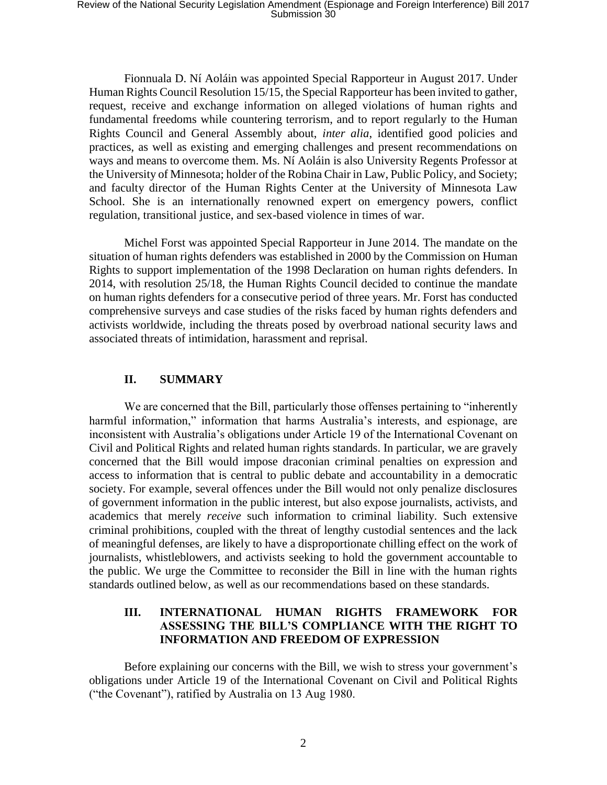Fionnuala D. Ní Aoláin was appointed Special Rapporteur in August 2017. Under Human Rights Council Resolution 15/15, the Special Rapporteur has been invited to gather, request, receive and exchange information on alleged violations of human rights and fundamental freedoms while countering terrorism, and to report regularly to the Human Rights Council and General Assembly about, *inter alia*, identified good policies and practices, as well as existing and emerging challenges and present recommendations on ways and means to overcome them. Ms. Ní Aoláin is also University Regents Professor at the University of Minnesota; holder of the Robina Chair in Law, Public Policy, and Society; and faculty director of the Human Rights Center at the University of Minnesota Law School. She is an internationally renowned expert on emergency powers, conflict regulation, transitional justice, and sex-based violence in times of war.

Michel Forst was appointed Special Rapporteur in June 2014. The mandate on the situation of human rights defenders was established in 2000 by the Commission on Human Rights to support implementation of the 1998 Declaration on human rights defenders. In 2014, with resolution 25/18, the Human Rights Council decided to continue the mandate on human rights defenders for a consecutive period of three years. Mr. Forst has conducted comprehensive surveys and case studies of the risks faced by human rights defenders and activists worldwide, including the threats posed by overbroad national security laws and associated threats of intimidation, harassment and reprisal.

## **II. SUMMARY**

We are concerned that the Bill, particularly those offenses pertaining to "inherently harmful information," information that harms Australia's interests, and espionage, are inconsistent with Australia's obligations under Article 19 of the International Covenant on Civil and Political Rights and related human rights standards. In particular, we are gravely concerned that the Bill would impose draconian criminal penalties on expression and access to information that is central to public debate and accountability in a democratic society. For example, several offences under the Bill would not only penalize disclosures of government information in the public interest, but also expose journalists, activists, and academics that merely *receive* such information to criminal liability. Such extensive criminal prohibitions, coupled with the threat of lengthy custodial sentences and the lack of meaningful defenses, are likely to have a disproportionate chilling effect on the work of journalists, whistleblowers, and activists seeking to hold the government accountable to the public. We urge the Committee to reconsider the Bill in line with the human rights standards outlined below, as well as our recommendations based on these standards.

### **III. INTERNATIONAL HUMAN RIGHTS FRAMEWORK FOR ASSESSING THE BILL'S COMPLIANCE WITH THE RIGHT TO INFORMATION AND FREEDOM OF EXPRESSION**

Before explaining our concerns with the Bill, we wish to stress your government's obligations under Article 19 of the International Covenant on Civil and Political Rights ("the Covenant"), ratified by Australia on 13 Aug 1980.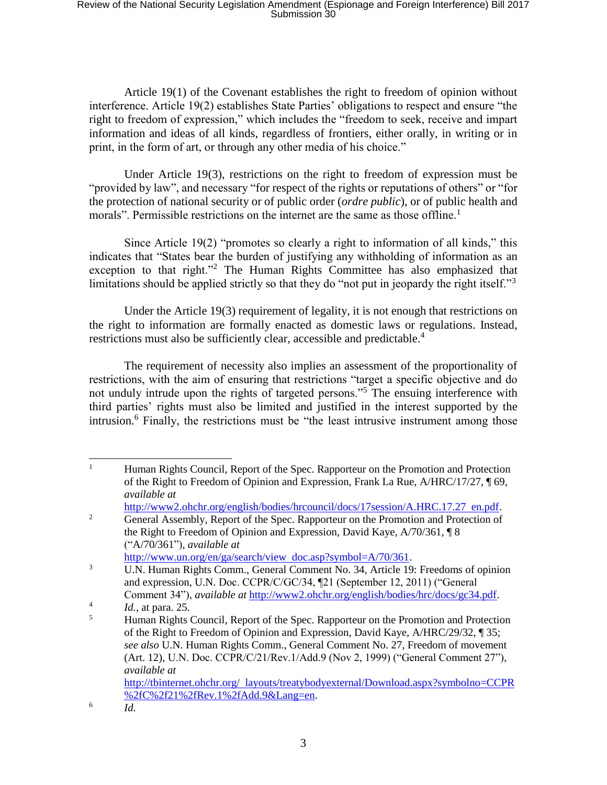Article 19(1) of the Covenant establishes the right to freedom of opinion without interference. Article 19(2) establishes State Parties' obligations to respect and ensure "the right to freedom of expression," which includes the "freedom to seek, receive and impart information and ideas of all kinds, regardless of frontiers, either orally, in writing or in print, in the form of art, or through any other media of his choice."

Under Article 19(3), restrictions on the right to freedom of expression must be "provided by law", and necessary "for respect of the rights or reputations of others" or "for the protection of national security or of public order (*ordre public*), or of public health and morals". Permissible restrictions on the internet are the same as those offline.<sup>1</sup>

<span id="page-2-1"></span>Since Article 19(2) "promotes so clearly a right to information of all kinds," this indicates that "States bear the burden of justifying any withholding of information as an exception to that right."<sup>2</sup> The Human Rights Committee has also emphasized that limitations should be applied strictly so that they do "not put in jeopardy the right itself."<sup>3</sup>

<span id="page-2-2"></span>Under the Article 19(3) requirement of legality, it is not enough that restrictions on the right to information are formally enacted as domestic laws or regulations. Instead, restrictions must also be sufficiently clear, accessible and predictable.<sup>4</sup>

<span id="page-2-0"></span>The requirement of necessity also implies an assessment of the proportionality of restrictions, with the aim of ensuring that restrictions "target a specific objective and do not unduly intrude upon the rights of targeted persons."<sup>5</sup> The ensuing interference with third parties' rights must also be limited and justified in the interest supported by the intrusion.<sup>6</sup> Finally, the restrictions must be "the least intrusive instrument among those

6

*Id.*

 $\mathbf{1}$ <sup>1</sup> Human Rights Council, Report of the Spec. Rapporteur on the Promotion and Protection of the Right to Freedom of Opinion and Expression, Frank La Rue, A/HRC/17/27, ¶ 69, *available at* 

http://www2.ohchr.org/english/bodies/hrcouncil/docs/17session/A.HRC.17.27 en.pdf.

<sup>&</sup>lt;sup>2</sup> General Assembly, Report of the Spec. Rapporteur on the Promotion and Protection of the Right to Freedom of Opinion and Expression, David Kaye, A/70/361, ¶ 8 ("A/70/361"), *available at*

http://www.un.org/en/ga/search/view doc.asp?symbol=A/70/361.

<sup>3</sup> U.N. Human Rights Comm., General Comment No. 34, Article 19: Freedoms of opinion and expression, U.N. Doc. CCPR/C/GC/34, ¶21 (September 12, 2011) ("General Comment 34"), *available at* http://www2.ohchr.org/english/bodies/hrc/docs/gc34.pdf.

<sup>4</sup> *Id.*, at para. 25.

<sup>&</sup>lt;sup>5</sup> Human Rights Council, Report of the Spec. Rapporteur on the Promotion and Protection of the Right to Freedom of Opinion and Expression, David Kaye, A/HRC/29/32, ¶ 35; *see also* U.N. Human Rights Comm., General Comment No. 27, Freedom of movement (Art. 12), U.N. Doc. CCPR/C/21/Rev.1/Add.9 (Nov 2, 1999) ("General Comment 27"), *available at* http://tbinternet.ohchr.org/ layouts/treatybodyexternal/Download.aspx?symbolno=CCPR %2fC%2f21%2fRev.1%2fAdd.9&Lang=en.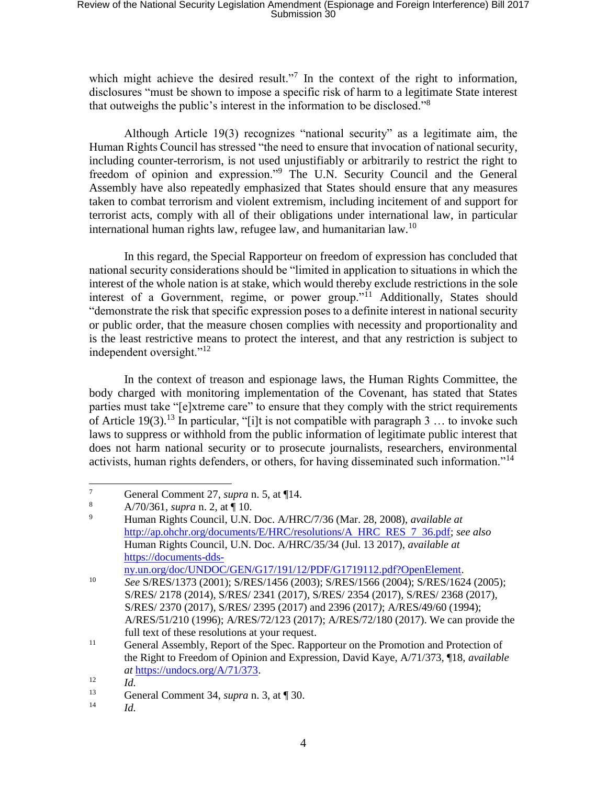# Review of the National Security Legislation Amendment (Espionage and Foreign Interference) Bill 2017 Submission 30

which might achieve the desired result."<sup>7</sup> In the context of the right to information, disclosures "must be shown to impose a specific risk of harm to a legitimate State interest that outweighs the public's interest in the information to be disclosed."<sup>8</sup>

Although Article 19(3) recognizes "national security" as a legitimate aim, the Human Rights Council has stressed "the need to ensure that invocation of national security, including counter-terrorism, is not used unjustifiably or arbitrarily to restrict the right to freedom of opinion and expression."<sup>9</sup> The U.N. Security Council and the General Assembly have also repeatedly emphasized that States should ensure that any measures taken to combat terrorism and violent extremism, including incitement of and support for terrorist acts, comply with all of their obligations under international law, in particular international human rights law, refugee law, and humanitarian law.<sup>10</sup>

In this regard, the Special Rapporteur on freedom of expression has concluded that national security considerations should be "limited in application to situations in which the interest of the whole nation is at stake, which would thereby exclude restrictions in the sole interest of a Government, regime, or power group."<sup>11</sup> Additionally, States should "demonstrate the risk that specific expression poses to a definite interest in national security or public order, that the measure chosen complies with necessity and proportionality and is the least restrictive means to protect the interest, and that any restriction is subject to independent oversight."<sup>12</sup>

In the context of treason and espionage laws, the Human Rights Committee, the body charged with monitoring implementation of the Covenant, has stated that States parties must take "[e]xtreme care" to ensure that they comply with the strict requirements of Article 19(3).<sup>13</sup> In particular, "[i]t is not compatible with paragraph 3 ... to invoke such laws to suppress or withhold from the public information of legitimate public interest that does not harm national security or to prosecute journalists, researchers, environmental activists, human rights defenders, or others, for having disseminated such information."<sup>14</sup>

ny.un.org/doc/UNDOC/GEN/G17/191/12/PDF/G1719112.pdf?OpenElement.

 $\boldsymbol{7}$  $\frac{7}{8}$  General Comment 27, *supra* n. [5,](#page-2-0) at \[14.

 $\frac{8}{9}$  A/70/361, *supra* **n.** [2,](#page-2-1) at  $\P$  10.

<sup>9</sup> Human Rights Council, U.N. Doc. A/HRC/7/36 (Mar. 28, 2008), *available at* http://ap.ohchr.org/documents/E/HRC/resolutions/A HRC RES 7 36.pdf; *see also* Human Rights Council, U.N. Doc. A/HRC/35/34 (Jul. 13 2017), *available at* https://documents-dds-

<sup>10</sup> *See* S/RES/1373 (2001); S/RES/1456 (2003); S/RES/1566 (2004); S/RES/1624 (2005); S/RES/ 2178 (2014), S/RES/ 2341 (2017), S/RES/ 2354 (2017), S/RES/ 2368 (2017), S/RES/ 2370 (2017), S/RES/ 2395 (2017) and 2396 (2017*)*; A/RES/49/60 (1994); A/RES/51/210 (1996); A/RES/72/123 (2017); A/RES/72/180 (2017). We can provide the full text of these resolutions at your request.

<sup>&</sup>lt;sup>11</sup> General Assembly, Report of the Spec. Rapporteur on the Promotion and Protection of the Right to Freedom of Opinion and Expression, David Kaye, A/71/373, ¶18, *available at* https://undocs.org/A/71/373.

 $\frac{12}{13}$  *Id.* 

<sup>13</sup> General Comment 34, *supra* n. [3,](#page-2-2) at ¶ 30.

<sup>14</sup> *Id.*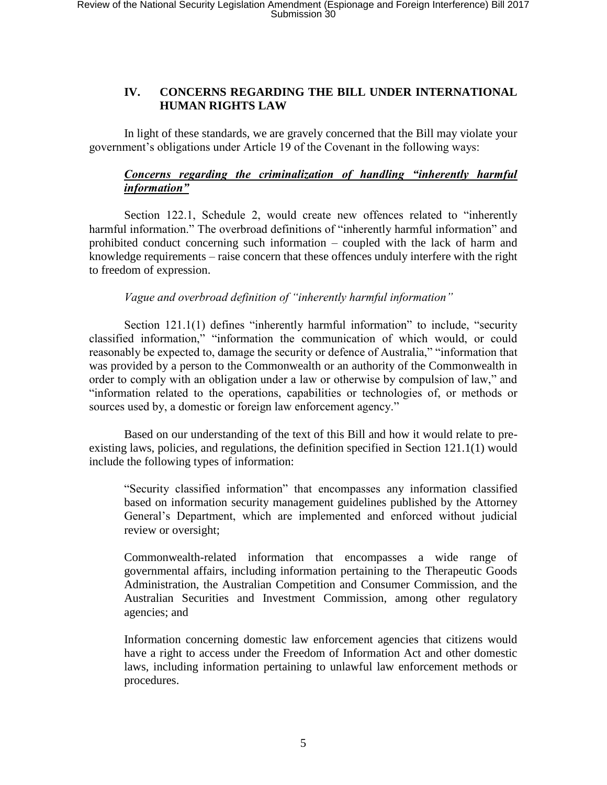## **IV. CONCERNS REGARDING THE BILL UNDER INTERNATIONAL HUMAN RIGHTS LAW**

In light of these standards, we are gravely concerned that the Bill may violate your government's obligations under Article 19 of the Covenant in the following ways:

## *Concerns regarding the criminalization of handling "inherently harmful information"*

Section 122.1, Schedule 2, would create new offences related to "inherently harmful information." The overbroad definitions of "inherently harmful information" and prohibited conduct concerning such information – coupled with the lack of harm and knowledge requirements – raise concern that these offences unduly interfere with the right to freedom of expression.

*Vague and overbroad definition of "inherently harmful information"* 

Section 121.1(1) defines "inherently harmful information" to include, "security classified information," "information the communication of which would, or could reasonably be expected to, damage the security or defence of Australia," "information that was provided by a person to the Commonwealth or an authority of the Commonwealth in order to comply with an obligation under a law or otherwise by compulsion of law," and "information related to the operations, capabilities or technologies of, or methods or sources used by, a domestic or foreign law enforcement agency."

Based on our understanding of the text of this Bill and how it would relate to preexisting laws, policies, and regulations, the definition specified in Section 121.1(1) would include the following types of information:

"Security classified information" that encompasses any information classified based on information security management guidelines published by the Attorney General's Department, which are implemented and enforced without judicial review or oversight;

Commonwealth-related information that encompasses a wide range of governmental affairs, including information pertaining to the Therapeutic Goods Administration, the Australian Competition and Consumer Commission, and the Australian Securities and Investment Commission, among other regulatory agencies; and

Information concerning domestic law enforcement agencies that citizens would have a right to access under the Freedom of Information Act and other domestic laws, including information pertaining to unlawful law enforcement methods or procedures.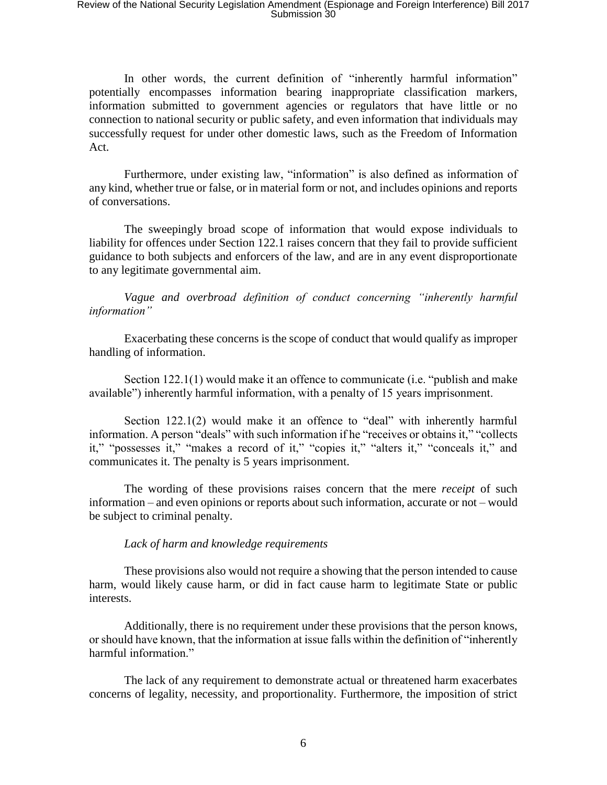In other words, the current definition of "inherently harmful information" potentially encompasses information bearing inappropriate classification markers, information submitted to government agencies or regulators that have little or no connection to national security or public safety, and even information that individuals may successfully request for under other domestic laws, such as the Freedom of Information Act.

Furthermore, under existing law, "information" is also defined as information of any kind, whether true or false, or in material form or not, and includes opinions and reports of conversations.

The sweepingly broad scope of information that would expose individuals to liability for offences under Section 122.1 raises concern that they fail to provide sufficient guidance to both subjects and enforcers of the law, and are in any event disproportionate to any legitimate governmental aim.

*Vague and overbroad definition of conduct concerning "inherently harmful information"* 

Exacerbating these concerns is the scope of conduct that would qualify as improper handling of information.

Section 122.1(1) would make it an offence to communicate (i.e. "publish and make available") inherently harmful information, with a penalty of 15 years imprisonment.

Section 122.1(2) would make it an offence to "deal" with inherently harmful information. A person "deals" with such information if he "receives or obtains it," "collects it," "possesses it," "makes a record of it," "copies it," "alters it," "conceals it," and communicates it. The penalty is 5 years imprisonment.

The wording of these provisions raises concern that the mere *receipt* of such information – and even opinions or reports about such information, accurate or not – would be subject to criminal penalty.

#### *Lack of harm and knowledge requirements*

These provisions also would not require a showing that the person intended to cause harm, would likely cause harm, or did in fact cause harm to legitimate State or public interests.

Additionally, there is no requirement under these provisions that the person knows, or should have known, that the information at issue falls within the definition of "inherently harmful information."

The lack of any requirement to demonstrate actual or threatened harm exacerbates concerns of legality, necessity, and proportionality. Furthermore, the imposition of strict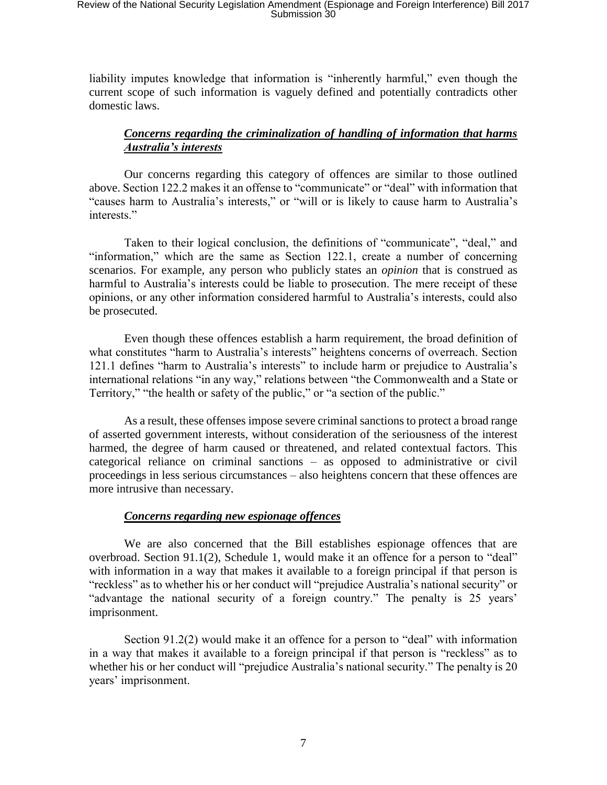liability imputes knowledge that information is "inherently harmful," even though the current scope of such information is vaguely defined and potentially contradicts other domestic laws.

## *Concerns regarding the criminalization of handling of information that harms Australia's interests*

Our concerns regarding this category of offences are similar to those outlined above. Section 122.2 makes it an offense to "communicate" or "deal" with information that "causes harm to Australia's interests," or "will or is likely to cause harm to Australia's interests."

Taken to their logical conclusion, the definitions of "communicate", "deal," and "information," which are the same as Section 122.1, create a number of concerning scenarios. For example, any person who publicly states an *opinion* that is construed as harmful to Australia's interests could be liable to prosecution. The mere receipt of these opinions, or any other information considered harmful to Australia's interests, could also be prosecuted.

Even though these offences establish a harm requirement, the broad definition of what constitutes "harm to Australia's interests" heightens concerns of overreach. Section 121.1 defines "harm to Australia's interests" to include harm or prejudice to Australia's international relations "in any way," relations between "the Commonwealth and a State or Territory," "the health or safety of the public," or "a section of the public."

As a result, these offenses impose severe criminal sanctions to protect a broad range of asserted government interests, without consideration of the seriousness of the interest harmed, the degree of harm caused or threatened, and related contextual factors. This categorical reliance on criminal sanctions – as opposed to administrative or civil proceedings in less serious circumstances – also heightens concern that these offences are more intrusive than necessary.

#### *Concerns regarding new espionage offences*

We are also concerned that the Bill establishes espionage offences that are overbroad. Section 91.1(2), Schedule 1, would make it an offence for a person to "deal" with information in a way that makes it available to a foreign principal if that person is "reckless" as to whether his or her conduct will "prejudice Australia's national security" or "advantage the national security of a foreign country." The penalty is 25 years' imprisonment.

Section 91.2(2) would make it an offence for a person to "deal" with information in a way that makes it available to a foreign principal if that person is "reckless" as to whether his or her conduct will "prejudice Australia's national security." The penalty is 20 years' imprisonment.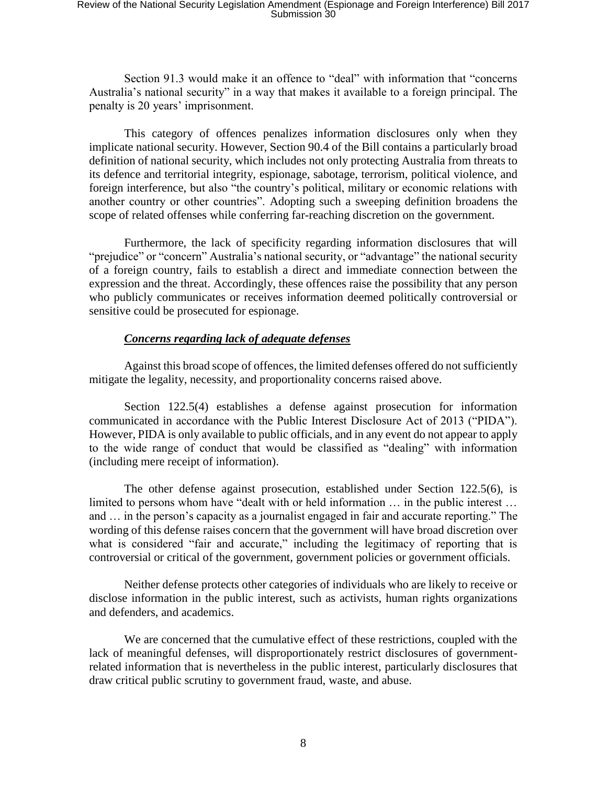Section 91.3 would make it an offence to "deal" with information that "concerns Australia's national security" in a way that makes it available to a foreign principal. The penalty is 20 years' imprisonment.

This category of offences penalizes information disclosures only when they implicate national security. However, Section 90.4 of the Bill contains a particularly broad definition of national security, which includes not only protecting Australia from threats to its defence and territorial integrity, espionage, sabotage, terrorism, political violence, and foreign interference, but also "the country's political, military or economic relations with another country or other countries". Adopting such a sweeping definition broadens the scope of related offenses while conferring far-reaching discretion on the government.

Furthermore, the lack of specificity regarding information disclosures that will "prejudice" or "concern" Australia's national security, or "advantage" the national security of a foreign country, fails to establish a direct and immediate connection between the expression and the threat. Accordingly, these offences raise the possibility that any person who publicly communicates or receives information deemed politically controversial or sensitive could be prosecuted for espionage.

### *Concerns regarding lack of adequate defenses*

Against this broad scope of offences, the limited defenses offered do not sufficiently mitigate the legality, necessity, and proportionality concerns raised above.

Section 122.5(4) establishes a defense against prosecution for information communicated in accordance with the Public Interest Disclosure Act of 2013 ("PIDA"). However, PIDA is only available to public officials, and in any event do not appear to apply to the wide range of conduct that would be classified as "dealing" with information (including mere receipt of information).

The other defense against prosecution, established under Section 122.5(6), is limited to persons whom have "dealt with or held information … in the public interest … and … in the person's capacity as a journalist engaged in fair and accurate reporting." The wording of this defense raises concern that the government will have broad discretion over what is considered "fair and accurate," including the legitimacy of reporting that is controversial or critical of the government, government policies or government officials.

Neither defense protects other categories of individuals who are likely to receive or disclose information in the public interest, such as activists, human rights organizations and defenders, and academics.

We are concerned that the cumulative effect of these restrictions, coupled with the lack of meaningful defenses, will disproportionately restrict disclosures of governmentrelated information that is nevertheless in the public interest, particularly disclosures that draw critical public scrutiny to government fraud, waste, and abuse.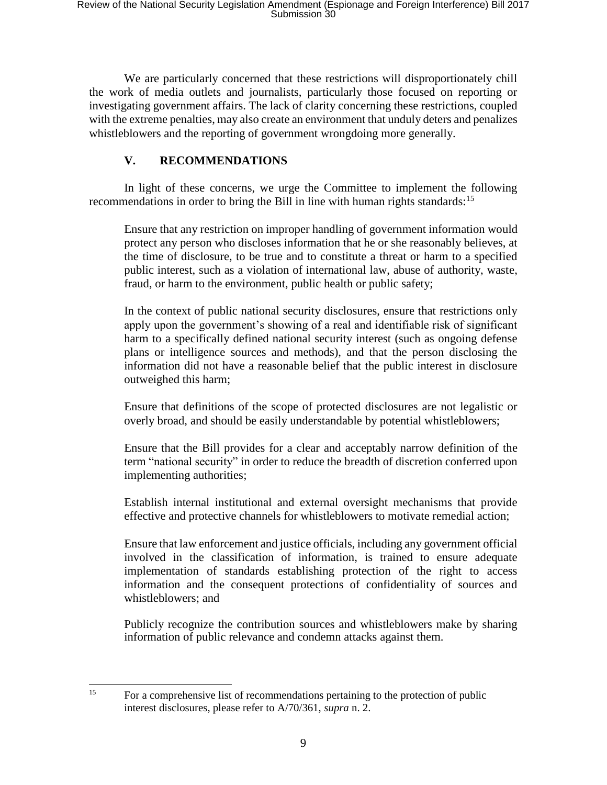We are particularly concerned that these restrictions will disproportionately chill the work of media outlets and journalists, particularly those focused on reporting or investigating government affairs. The lack of clarity concerning these restrictions, coupled with the extreme penalties, may also create an environment that unduly deters and penalizes whistleblowers and the reporting of government wrongdoing more generally.

## **V. RECOMMENDATIONS**

In light of these concerns, we urge the Committee to implement the following recommendations in order to bring the Bill in line with human rights standards:<sup>15</sup>

Ensure that any restriction on improper handling of government information would protect any person who discloses information that he or she reasonably believes, at the time of disclosure, to be true and to constitute a threat or harm to a specified public interest, such as a violation of international law, abuse of authority, waste, fraud, or harm to the environment, public health or public safety;

In the context of public national security disclosures, ensure that restrictions only apply upon the government's showing of a real and identifiable risk of significant harm to a specifically defined national security interest (such as ongoing defense plans or intelligence sources and methods), and that the person disclosing the information did not have a reasonable belief that the public interest in disclosure outweighed this harm;

Ensure that definitions of the scope of protected disclosures are not legalistic or overly broad, and should be easily understandable by potential whistleblowers;

Ensure that the Bill provides for a clear and acceptably narrow definition of the term "national security" in order to reduce the breadth of discretion conferred upon implementing authorities;

Establish internal institutional and external oversight mechanisms that provide effective and protective channels for whistleblowers to motivate remedial action;

Ensure that law enforcement and justice officials, including any government official involved in the classification of information, is trained to ensure adequate implementation of standards establishing protection of the right to access information and the consequent protections of confidentiality of sources and whistleblowers; and

Publicly recognize the contribution sources and whistleblowers make by sharing information of public relevance and condemn attacks against them.

l <sup>15</sup> For a comprehensive list of recommendations pertaining to the protection of public interest disclosures, please refer to A/70/361, *supra* n[. 2.](#page-2-1)